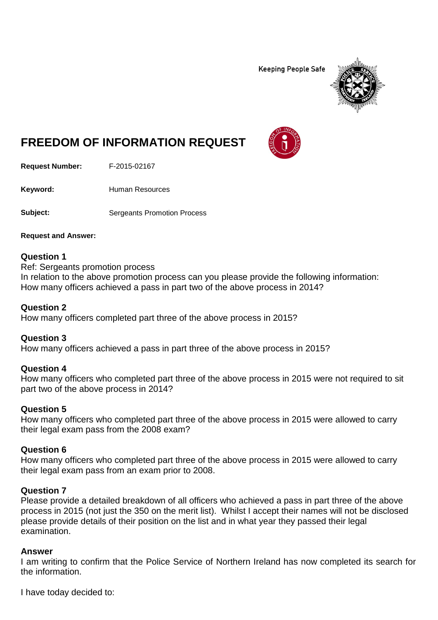**Keeping People Safe** 



# **FREEDOM OF INFORMATION REQUEST**

**Request Number:** F-2015-02167

Keyword: Human Resources

**Subject:** Sergeants Promotion Process

**Request and Answer:**

#### **Question 1**

Ref: Sergeants promotion process In relation to the above promotion process can you please provide the following information: How many officers achieved a pass in part two of the above process in 2014?

#### **Question 2**

How many officers completed part three of the above process in 2015?

## **Question 3**

How many officers achieved a pass in part three of the above process in 2015?

## **Question 4**

How many officers who completed part three of the above process in 2015 were not required to sit part two of the above process in 2014?

## **Question 5**

How many officers who completed part three of the above process in 2015 were allowed to carry their legal exam pass from the 2008 exam?

## **Question 6**

How many officers who completed part three of the above process in 2015 were allowed to carry their legal exam pass from an exam prior to 2008.

## **Question 7**

Please provide a detailed breakdown of all officers who achieved a pass in part three of the above process in 2015 (not just the 350 on the merit list). Whilst I accept their names will not be disclosed please provide details of their position on the list and in what year they passed their legal examination.

#### **Answer**

I am writing to confirm that the Police Service of Northern Ireland has now completed its search for the information.

I have today decided to: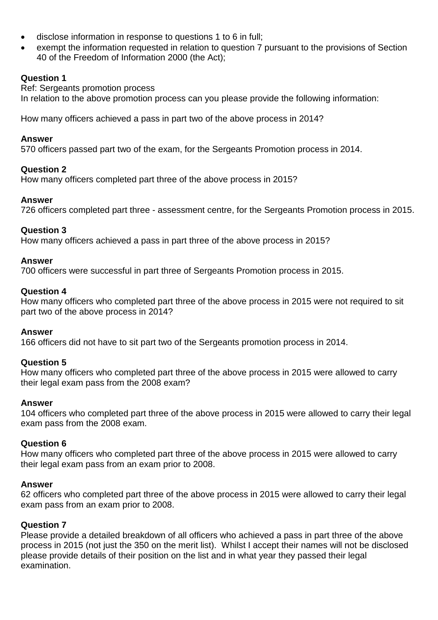- disclose information in response to questions 1 to 6 in full;
- exempt the information requested in relation to question 7 pursuant to the provisions of Section 40 of the Freedom of Information 2000 (the Act);

# **Question 1**

Ref: Sergeants promotion process In relation to the above promotion process can you please provide the following information:

How many officers achieved a pass in part two of the above process in 2014?

#### **Answer**

570 officers passed part two of the exam, for the Sergeants Promotion process in 2014.

## **Question 2**

How many officers completed part three of the above process in 2015?

## **Answer**

726 officers completed part three - assessment centre, for the Sergeants Promotion process in 2015.

## **Question 3**

How many officers achieved a pass in part three of the above process in 2015?

## **Answer**

700 officers were successful in part three of Sergeants Promotion process in 2015.

## **Question 4**

How many officers who completed part three of the above process in 2015 were not required to sit part two of the above process in 2014?

#### **Answer**

166 officers did not have to sit part two of the Sergeants promotion process in 2014.

## **Question 5**

How many officers who completed part three of the above process in 2015 were allowed to carry their legal exam pass from the 2008 exam?

#### **Answer**

104 officers who completed part three of the above process in 2015 were allowed to carry their legal exam pass from the 2008 exam.

## **Question 6**

How many officers who completed part three of the above process in 2015 were allowed to carry their legal exam pass from an exam prior to 2008.

## **Answer**

62 officers who completed part three of the above process in 2015 were allowed to carry their legal exam pass from an exam prior to 2008.

## **Question 7**

Please provide a detailed breakdown of all officers who achieved a pass in part three of the above process in 2015 (not just the 350 on the merit list). Whilst I accept their names will not be disclosed please provide details of their position on the list and in what year they passed their legal examination.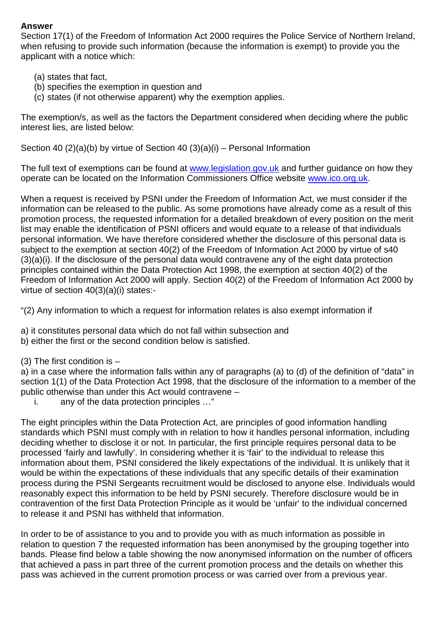## **Answer**

Section 17(1) of the Freedom of Information Act 2000 requires the Police Service of Northern Ireland, when refusing to provide such information (because the information is exempt) to provide you the applicant with a notice which:

- (a) states that fact,
- (b) specifies the exemption in question and
- (c) states (if not otherwise apparent) why the exemption applies.

The exemption/s, as well as the factors the Department considered when deciding where the public interest lies, are listed below:

Section 40 (2)(a)(b) by virtue of Section 40 (3)(a)(i) – Personal Information

The full text of exemptions can be found at [www.legislation.gov.uk](http://www.legislation.gov.uk/) and further guidance on how they operate can be located on the Information Commissioners Office website [www.ico.org.uk.](http://www.ico.org.uk/)

When a request is received by PSNI under the Freedom of Information Act, we must consider if the information can be released to the public. As some promotions have already come as a result of this promotion process, the requested information for a detailed breakdown of every position on the merit list may enable the identification of PSNI officers and would equate to a release of that individuals personal information. We have therefore considered whether the disclosure of this personal data is subject to the exemption at section 40(2) of the Freedom of Information Act 2000 by virtue of s40 (3)(a)(i). If the disclosure of the personal data would contravene any of the eight data protection principles contained within the Data Protection Act 1998, the exemption at section 40(2) of the Freedom of Information Act 2000 will apply. Section 40(2) of the Freedom of Information Act 2000 by virtue of section 40(3)(a)(i) states:-

"(2) Any information to which a request for information relates is also exempt information if

- a) it constitutes personal data which do not fall within subsection and
- b) either the first or the second condition below is satisfied.
- (3) The first condition is –

a) in a case where the information falls within any of paragraphs (a) to (d) of the definition of "data" in section 1(1) of the Data Protection Act 1998, that the disclosure of the information to a member of the public otherwise than under this Act would contravene –

i. any of the data protection principles …"

The eight principles within the Data Protection Act, are principles of good information handling standards which PSNI must comply with in relation to how it handles personal information, including deciding whether to disclose it or not. In particular, the first principle requires personal data to be processed 'fairly and lawfully'. In considering whether it is 'fair' to the individual to release this information about them, PSNI considered the likely expectations of the individual. It is unlikely that it would be within the expectations of these individuals that any specific details of their examination process during the PSNI Sergeants recruitment would be disclosed to anyone else. Individuals would reasonably expect this information to be held by PSNI securely. Therefore disclosure would be in contravention of the first Data Protection Principle as it would be 'unfair' to the individual concerned to release it and PSNI has withheld that information.

In order to be of assistance to you and to provide you with as much information as possible in relation to question 7 the requested information has been anonymised by the grouping together into bands. Please find below a table showing the now anonymised information on the number of officers that achieved a pass in part three of the current promotion process and the details on whether this pass was achieved in the current promotion process or was carried over from a previous year.